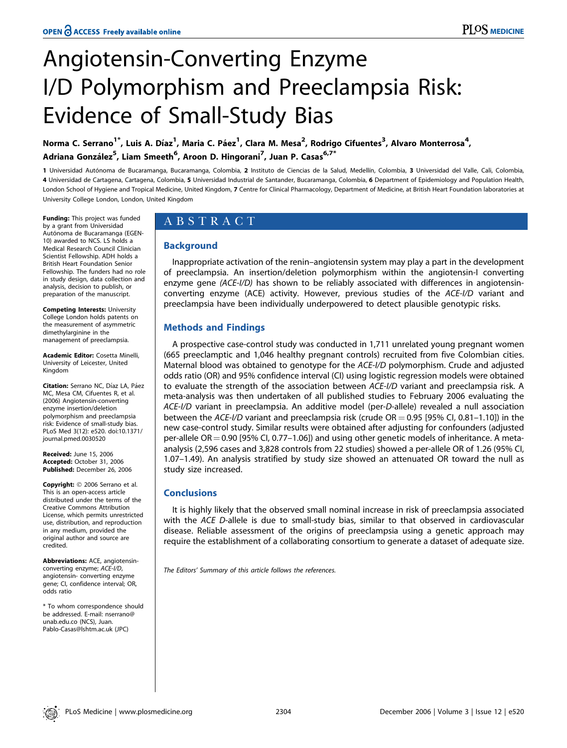# Angiotensin-Converting Enzyme I/D Polymorphism and Preeclampsia Risk: Evidence of Small-Study Bias

Norma C. Serrano<sup>1\*</sup>, Luis A. Díaz<sup>1</sup>, Maria C. Páez<sup>1</sup>, Clara M. Mesa<sup>2</sup>, Rodrigo Cifuentes<sup>3</sup>, Alvaro Monterrosa<sup>4</sup>, Adriana González<sup>5</sup>, Liam Smeeth<sup>6</sup>, Aroon D. Hingorani<sup>7</sup>, Juan P. Casas<sup>6,7\*</sup>

1 Universidad Autónoma de Bucaramanga, Bucaramanga, Colombia, 2 Instituto de Ciencias de la Salud, Medellín, Colombia, 3 Universidad del Valle, Cali, Colombia, 4 Universidad de Cartagena, Cartagena, Colombia, 5 Universidad Industrial de Santander, Bucaramanga, Colombia, 6 Department of Epidemiology and Population Health, London School of Hygiene and Tropical Medicine, United Kingdom, 7 Centre for Clinical Pharmacology, Department of Medicine, at British Heart Foundation laboratories at University College London, London, United Kingdom

Funding: This project was funded by a grant from Universidad Autónoma de Bucaramanga (EGEN-10) awarded to NCS. LS holds a Medical Research Council Clinician Scientist Fellowship. ADH holds a British Heart Foundation Senior Fellowship. The funders had no role in study design, data collection and analysis, decision to publish, or preparation of the manuscript.

Competing Interests: University College London holds patents on the measurement of asymmetric dimethylarginine in the management of preeclampsia.

Academic Editor: Cosetta Minelli, University of Leicester, United Kingdom

Citation: Serrano NC, Díaz LA, Páez MC, Mesa CM, Cifuentes R, et al. (2006) Angiotensin-converting enzyme insertion/deletion polymorphism and preeclampsia risk: Evidence of small-study bias. PLoS Med 3(12): e520. doi:10.1371/ journal.pmed.0030520

Received: June 15, 2006 Accepted: October 31, 2006 Published: December 26, 2006

Copyright: © 2006 Serrano et al. This is an open-access article distributed under the terms of the Creative Commons Attribution License, which permits unrestricted use, distribution, and reproduction in any medium, provided the original author and source are credited.

Abbreviations: ACE, angiotensinconverting enzyme; ACE-I/D, angiotensin- converting enzyme gene; CI, confidence interval; OR, odds ratio

\* To whom correspondence should be addressed. E-mail: nserrano@ unab.edu.co (NCS), Juan. Pablo-Casas@lshtm.ac.uk (JPC)

# ABSTRACT

# Background

Inappropriate activation of the renin–angiotensin system may play a part in the development of preeclampsia. An insertion/deletion polymorphism within the angiotensin-I converting enzyme gene (ACE-I/D) has shown to be reliably associated with differences in angiotensinconverting enzyme (ACE) activity. However, previous studies of the ACE-I/D variant and preeclampsia have been individually underpowered to detect plausible genotypic risks.

# Methods and Findings

A prospective case-control study was conducted in 1,711 unrelated young pregnant women (665 preeclamptic and 1,046 healthy pregnant controls) recruited from five Colombian cities. Maternal blood was obtained to genotype for the ACE-I/D polymorphism. Crude and adjusted odds ratio (OR) and 95% confidence interval (CI) using logistic regression models were obtained to evaluate the strength of the association between ACE-I/D variant and preeclampsia risk. A meta-analysis was then undertaken of all published studies to February 2006 evaluating the ACE-I/D variant in preeclampsia. An additive model (per-D-allele) revealed a null association between the ACE-I/D variant and preeclampsia risk (crude  $OR = 0.95$  [95% CI, 0.81–1.10]) in the new case-control study. Similar results were obtained after adjusting for confounders (adjusted per-allele  $OR = 0.90$  [95% CI, 0.77–1.06]) and using other genetic models of inheritance. A metaanalysis (2,596 cases and 3,828 controls from 22 studies) showed a per-allele OR of 1.26 (95% CI, 1.07–1.49). An analysis stratified by study size showed an attenuated OR toward the null as study size increased.

# **Conclusions**

It is highly likely that the observed small nominal increase in risk of preeclampsia associated with the ACE D-allele is due to small-study bias, similar to that observed in cardiovascular disease. Reliable assessment of the origins of preeclampsia using a genetic approach may require the establishment of a collaborating consortium to generate a dataset of adequate size.

The Editors' Summary of this article follows the references.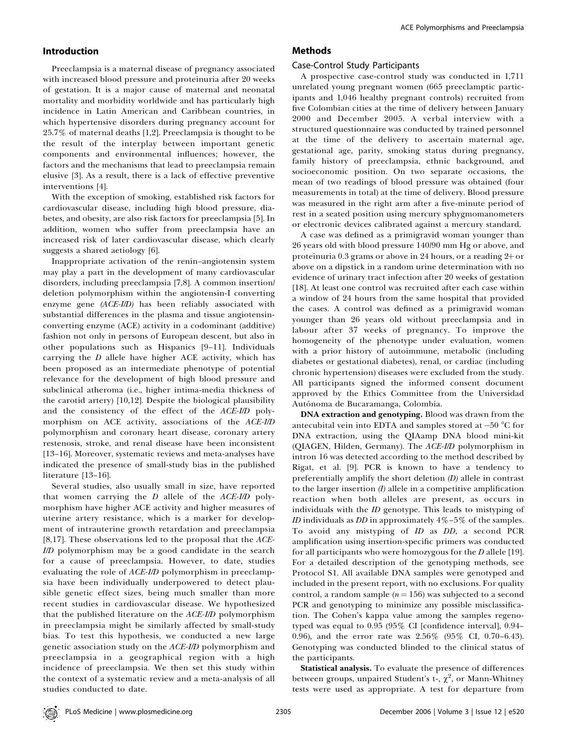## Introduction

Preeclampsia is a maternal disease of pregnancy associated with increased blood pressure and proteinuria after 20 weeks of gestation. It is a major cause of maternal and neonatal mortality and morbidity worldwide and has particularly high incidence in Latin American and Caribbean countries, in which hypertensive disorders during pregnancy account for 25.7% of maternal deaths [1,2]. Preeclampsia is thought to be the result of the interplay between important genetic components and environmental influences; however, the factors and the mechanisms that lead to preeclampsia remain elusive [3]. As a result, there is a lack of effective preventive interventions [4].

With the exception of smoking, established risk factors for cardiovascular disease, including high blood pressure, diabetes, and obesity, are also risk factors for preeclampsia [5]. In addition, women who suffer from preeclampsia have an increased risk of later cardiovascular disease, which clearly suggests a shared aetiology [6].

Inappropriate activation of the renin–angiotensin system may play a part in the development of many cardiovascular disorders, including preeclampsia [7,8]. A common insertion/ deletion polymorphism within the angiotensin-I converting enzyme gene (ACE-I/D) has been reliably associated with substantial differences in the plasma and tissue angiotensinconverting enzyme (ACE) activity in a codominant (additive) fashion not only in persons of European descent, but also in other populations such as Hispanics [9–11]. Individuals carrying the D allele have higher ACE activity, which has been proposed as an intermediate phenotype of potential relevance for the development of high blood pressure and subclinical atheroma (i.e., higher intima-media thickness of the carotid artery) [10,12]. Despite the biological plausibility and the consistency of the effect of the ACE-I/D polymorphism on ACE activity, associations of the ACE-I/D polymorphism and coronary heart disease, coronary artery restenosis, stroke, and renal disease have been inconsistent [13–16]. Moreover, systematic reviews and meta-analyses have indicated the presence of small-study bias in the published literature [13–16].

Several studies, also usually small in size, have reported that women carrying the  $D$  allele of the  $ACE-I/D$  polymorphism have higher ACE activity and higher measures of uterine artery resistance, which is a marker for development of intrauterine growth retardation and preeclampsia [8,17]. These observations led to the proposal that the  $ACE$ -I/D polymorphism may be a good candidate in the search for a cause of preeclampsia. However, to date, studies evaluating the role of ACE-I/D polymorphism in preeclampsia have been individually underpowered to detect plausible genetic effect sizes, being much smaller than more recent studies in cardiovascular disease. We hypothesized that the published literature on the  $ACE-I/D$  polymorphism in preeclampsia might be similarly affected by small-study bias. To test this hypothesis, we conducted a new large genetic association study on the ACE-I/D polymorphism and preeclampsia in a geographical region with a high incidence of preeclampsia. We then set this study within the context of a systematic review and a meta-analysis of all studies conducted to date.

# Methods

## Case-Control Study Participants

A prospective case-control study was conducted in 1,711 unrelated young pregnant women (665 preeclamptic participants and 1,046 healthy pregnant controls) recruited from five Colombian cities at the time of delivery between January 2000 and December 2005. A verbal interview with a structured questionnaire was conducted by trained personnel at the time of the delivery to ascertain maternal age, gestational age, parity, smoking status during pregnancy, family history of preeclampsia, ethnic background, and socioeconomic position. On two separate occasions, the mean of two readings of blood pressure was obtained (four measurements in total) at the time of delivery. Blood pressure was measured in the right arm after a five-minute period of rest in a seated position using mercury sphygmomanometers or electronic devices calibrated against a mercury standard.

A case was defined as a primigravid woman younger than 26 years old with blood pressure 140/90 mm Hg or above, and proteinuria 0.3 grams or above in 24 hours, or a reading  $2+$  or above on a dipstick in a random urine determination with no evidence of urinary tract infection after 20 weeks of gestation [18]. At least one control was recruited after each case within a window of 24 hours from the same hospital that provided the cases. A control was defined as a primigravid woman younger than 26 years old without preeclampsia and in labour after 37 weeks of pregnancy. To improve the homogeneity of the phenotype under evaluation, women with a prior history of autoimmune, metabolic (including diabetes or gestational diabetes), renal, or cardiac (including chronic hypertension) diseases were excluded from the study. All participants signed the informed consent document approved by the Ethics Committee from the Universidad Autónoma de Bucaramanga, Colombia.

DNA extraction and genotyping. Blood was drawn from the antecubital vein into EDTA and samples stored at  $-50$  °C for DNA extraction, using the QIAamp DNA blood mini-kit (QIAGEN, Hilden, Germany). The ACE-I/D polymorphism in intron 16 was detected according to the method described by Rigat, et al. [9]. PCR is known to have a tendency to preferentially amplify the short deletion (D) allele in contrast to the larger insertion  $(I)$  allele in a competitive amplification reaction when both alleles are present, as occurs in individuals with the ID genotype. This leads to mistyping of *ID* individuals as *DD* in approximately  $4\% - 5\%$  of the samples. To avoid any mistyping of ID as DD, a second PCR amplification using insertion-specific primers was conducted for all participants who were homozygous for the  $D$  allele [19]. For a detailed description of the genotyping methods, see Protocol S1. All available DNA samples were genotyped and included in the present report, with no exclusions. For quality control, a random sample  $(n = 156)$  was subjected to a second PCR and genotyping to minimize any possible misclassification. The Cohen's kappa value among the samples regenotyped was equal to 0.95 (95% CI [confidence interval], 0.94– 0.96), and the error rate was 2.56% (95% CI, 0.70–6.43). Genotyping was conducted blinded to the clinical status of the participants.

Statistical analysis. To evaluate the presence of differences between groups, unpaired Student's t-,  $\chi^2$ , or Mann-Whitney tests were used as appropriate. A test for departure from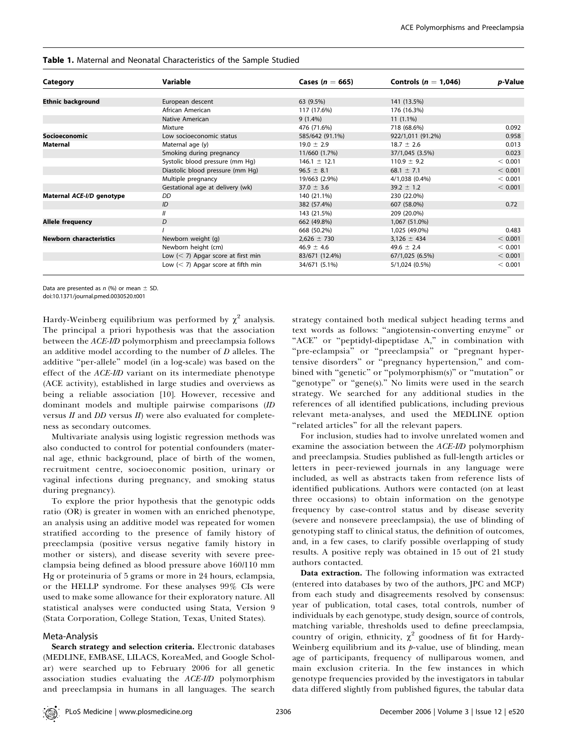| Category                       | Variable                             | Cases ( $n = 665$ ) | Controls ( $n = 1.046$ ) | p-Value |
|--------------------------------|--------------------------------------|---------------------|--------------------------|---------|
|                                |                                      |                     |                          |         |
| <b>Ethnic background</b>       | European descent                     | 63 (9.5%)           | 141 (13.5%)              |         |
|                                | African American                     | 117 (17.6%)         | 176 (16.3%)              |         |
|                                | Native American                      | $9(1.4\%)$          | $11(1.1\%)$              |         |
|                                | Mixture                              | 476 (71.6%)         | 718 (68.6%)              | 0.092   |
| Socioeconomic                  | Low socioeconomic status             | 585/642 (91.1%)     | 922/1,011 (91.2%)        | 0.958   |
| Maternal                       | Maternal age (y)                     | $19.0 \pm 2.9$      | $18.7 \pm 2.6$           | 0.013   |
|                                | Smoking during pregnancy             | 11/660 (1.7%)       | 37/1,045 (3.5%)          | 0.023   |
|                                | Systolic blood pressure (mm Hg)      | $146.1 \pm 12.1$    | $110.9 \pm 9.2$          | < 0.001 |
|                                | Diastolic blood pressure (mm Hg)     | $96.5 \pm 8.1$      | 68.1 $\pm$ 7.1           | < 0.001 |
|                                | Multiple pregnancy                   | 19/663 (2.9%)       | 4/1,038 (0.4%)           | < 0.001 |
|                                | Gestational age at delivery (wk)     | $37.0 \pm 3.6$      | $39.2 \pm 1.2$           | < 0.001 |
| Maternal ACE-I/D genotype      | DD                                   | 140 (21.1%)         | 230 (22.0%)              |         |
|                                | ID                                   | 382 (57.4%)         | 607 (58.0%)              | 0.72    |
|                                | $^{\prime\prime}$                    | 143 (21.5%)         | 209 (20.0%)              |         |
| Allele frequency               | D                                    | 662 (49.8%)         | 1,067 (51.0%)            |         |
|                                |                                      | 668 (50.2%)         | 1,025 (49.0%)            | 0.483   |
| <b>Newborn characteristics</b> | Newborn weight (q)                   | $2,626 \pm 730$     | $3,126 \pm 434$          | < 0.001 |
|                                | Newborn height (cm)                  | $46.9 \pm 4.6$      | $49.6 \pm 2.4$           | < 0.001 |
|                                | Low $(< 7)$ Apgar score at first min | 83/671 (12.4%)      | 67/1,025 (6.5%)          | < 0.001 |
|                                | Low $(< 7)$ Apgar score at fifth min | 34/671 (5.1%)       | 5/1,024 (0.5%)           | < 0.001 |

#### Table 1. Maternal and Neonatal Characteristics of the Sample Studied

Data are presented as  $n$  (%) or mean  $\pm$  SD. doi:10.1371/journal.pmed.0030520.t001

Hardy-Weinberg equilibrium was performed by  $\chi^2$  analysis. The principal a priori hypothesis was that the association between the ACE-I/D polymorphism and preeclampsia follows an additive model according to the number of D alleles. The additive ''per-allele'' model (in a log-scale) was based on the effect of the ACE-I/D variant on its intermediate phenotype (ACE activity), established in large studies and overviews as being a reliable association [10]. However, recessive and dominant models and multiple pairwise comparisons (ID versus  $II$  and  $DD$  versus  $II$ ) were also evaluated for completeness as secondary outcomes.

Multivariate analysis using logistic regression methods was also conducted to control for potential confounders (maternal age, ethnic background, place of birth of the women, recruitment centre, socioeconomic position, urinary or vaginal infections during pregnancy, and smoking status during pregnancy).

To explore the prior hypothesis that the genotypic odds ratio (OR) is greater in women with an enriched phenotype, an analysis using an additive model was repeated for women stratified according to the presence of family history of preeclampsia (positive versus negative family history in mother or sisters), and disease severity with severe preeclampsia being defined as blood pressure above 160/110 mm Hg or proteinuria of 5 grams or more in 24 hours, eclampsia, or the HELLP syndrome. For these analyses 99% CIs were used to make some allowance for their exploratory nature. All statistical analyses were conducted using Stata, Version 9 (Stata Corporation, College Station, Texas, United States).

## Meta-Analysis

Search strategy and selection criteria. Electronic databases (MEDLINE, EMBASE, LILACS, KoreaMed, and Google Scholar) were searched up to February 2006 for all genetic association studies evaluating the ACE-I/D polymorphism and preeclampsia in humans in all languages. The search strategy contained both medical subject heading terms and text words as follows: ''angiotensin-converting enzyme'' or "ACE" or "peptidyl-dipeptidase A," in combination with "pre-eclampsia" or "preeclampsia" or "pregnant hypertensive disorders'' or ''pregnancy hypertension,'' and combined with ''genetic'' or ''polymorphism(s)'' or ''mutation'' or "genotype" or "gene(s)." No limits were used in the search strategy. We searched for any additional studies in the references of all identified publications, including previous relevant meta-analyses, and used the MEDLINE option ''related articles'' for all the relevant papers.

For inclusion, studies had to involve unrelated women and examine the association between the ACE-I/D polymorphism and preeclampsia. Studies published as full-length articles or letters in peer-reviewed journals in any language were included, as well as abstracts taken from reference lists of identified publications. Authors were contacted (on at least three occasions) to obtain information on the genotype frequency by case-control status and by disease severity (severe and nonsevere preeclampsia), the use of blinding of genotyping staff to clinical status, the definition of outcomes, and, in a few cases, to clarify possible overlapping of study results. A positive reply was obtained in 15 out of 21 study authors contacted.

Data extraction. The following information was extracted (entered into databases by two of the authors, JPC and MCP) from each study and disagreements resolved by consensus: year of publication, total cases, total controls, number of individuals by each genotype, study design, source of controls, matching variable, thresholds used to define preeclampsia, country of origin, ethnicity,  $\chi^2$  goodness of fit for Hardy-Weinberg equilibrium and its  $p$ -value, use of blinding, mean age of participants, frequency of nulliparous women, and main exclusion criteria. In the few instances in which genotype frequencies provided by the investigators in tabular data differed slightly from published figures, the tabular data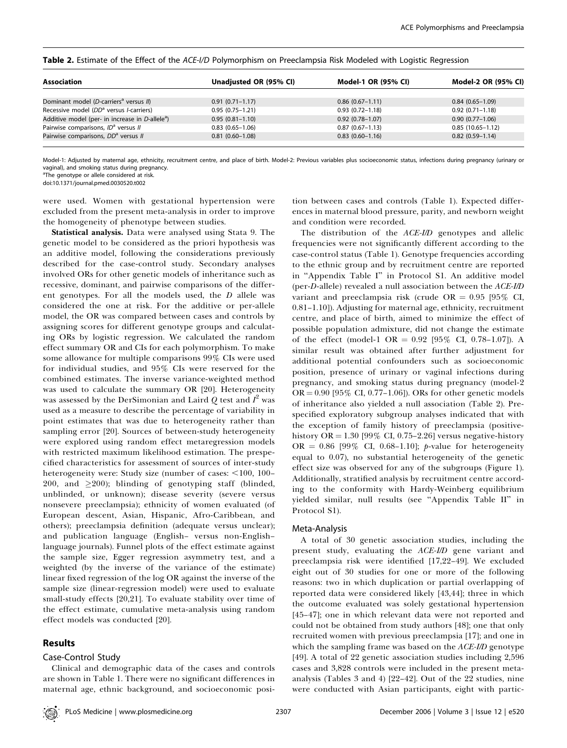| <b>Association</b>                                             | Unadjusted OR (95% CI) | Model-1 OR (95% CI) | Model-2 OR (95% CI)  |
|----------------------------------------------------------------|------------------------|---------------------|----------------------|
| Dominant model (D-carriers <sup>a</sup> versus II)             | $0.91(0.71 - 1.17)$    | $0.86(0.67-1.11)$   | $0.84(0.65 - 1.09)$  |
| Recessive model (DD <sup>a</sup> versus <i>I</i> -carriers)    | $0.95(0.75-1.21)$      | $0.93(0.72 - 1.18)$ | $0.92(0.71 - 1.18)$  |
| Additive model (per- in increase in $D$ -allele <sup>a</sup> ) | $0.95(0.81 - 1.10)$    | $0.92(0.78 - 1.07)$ | $0.90(0.77 - 1.06)$  |
| Pairwise comparisons, ID <sup>a</sup> versus II                | $0.83(0.65-1.06)$      | $0.87(0.67-1.13)$   | $0.85(10.65 - 1.12)$ |
| Pairwise comparisons, DD <sup>a</sup> versus II                | $0.81(0.60 - 1.08)$    | $0.83(0.60-1.16)$   | $0.82(0.59 - 1.14)$  |

Table 2. Estimate of the Effect of the ACE-I/D Polymorphism on Preeclampsia Risk Modeled with Logistic Regression

Model-1: Adjusted by maternal age, ethnicity, recruitment centre, and place of birth. Model-2: Previous variables plus socioeconomic status, infections during pregnancy (urinary or vaginal), and smoking status during pregnancy.

<sup>a</sup>The genotype or allele considered at risk.

doi:10.1371/journal.pmed.0030520.t002

were used. Women with gestational hypertension were excluded from the present meta-analysis in order to improve the homogeneity of phenotype between studies.

Statistical analysis. Data were analysed using Stata 9. The genetic model to be considered as the priori hypothesis was an additive model, following the considerations previously described for the case-control study. Secondary analyses involved ORs for other genetic models of inheritance such as recessive, dominant, and pairwise comparisons of the different genotypes. For all the models used, the D allele was considered the one at risk. For the additive or per-allele model, the OR was compared between cases and controls by assigning scores for different genotype groups and calculating ORs by logistic regression. We calculated the random effect summary OR and CIs for each polymorphism. To make some allowance for multiple comparisons 99% CIs were used for individual studies, and 95% CIs were reserved for the combined estimates. The inverse variance-weighted method was used to calculate the summary OR [20]. Heterogeneity was assessed by the DerSimonian and Laird  $Q$  test and  $I^2$  was used as a measure to describe the percentage of variability in point estimates that was due to heterogeneity rather than sampling error [20]. Sources of between-study heterogeneity were explored using random effect metaregression models with restricted maximum likelihood estimation. The prespecified characteristics for assessment of sources of inter-study heterogeneity were: Study size (number of cases: <100, 100– 200, and  $\geq$ 200); blinding of genotyping staff (blinded, unblinded, or unknown); disease severity (severe versus nonsevere preeclampsia); ethnicity of women evaluated (of European descent, Asian, Hispanic, Afro-Caribbean, and others); preeclampsia definition (adequate versus unclear); and publication language (English– versus non-English– language journals). Funnel plots of the effect estimate against the sample size, Egger regression asymmetry test, and a weighted (by the inverse of the variance of the estimate) linear fixed regression of the log OR against the inverse of the sample size (linear-regression model) were used to evaluate small-study effects [20,21]. To evaluate stability over time of the effect estimate, cumulative meta-analysis using random effect models was conducted [20].

## Results

#### Case-Control Study

Clinical and demographic data of the cases and controls are shown in Table 1. There were no significant differences in maternal age, ethnic background, and socioeconomic posi-

tion between cases and controls (Table 1). Expected differences in maternal blood pressure, parity, and newborn weight and condition were recorded.

The distribution of the ACE-I/D genotypes and allelic frequencies were not significantly different according to the case-control status (Table 1). Genotype frequencies according to the ethnic group and by recruitment centre are reported in ''Appendix Table I'' in Protocol S1. An additive model (per-D-allele) revealed a null association between the ACE-I/D variant and preeclampsia risk (crude OR =  $0.95$  [95% CI, 0.81–1.10]). Adjusting for maternal age, ethnicity, recruitment centre, and place of birth, aimed to minimize the effect of possible population admixture, did not change the estimate of the effect (model-1 OR =  $0.92$  [ $95\%$  CI, 0.78-1.07]). A similar result was obtained after further adjustment for additional potential confounders such as socioeconomic position, presence of urinary or vaginal infections during pregnancy, and smoking status during pregnancy (model-2  $OR = 0.90$  [95% CI, 0.77-1.06]). ORs for other genetic models of inheritance also yielded a null association (Table 2). Prespecified exploratory subgroup analyses indicated that with the exception of family history of preeclampsia (positivehistory OR = 1.30 [99% CI, 0.75–2.26] versus negative-history OR =  $0.86$  [99% CI, 0.68-1.10]; *p*-value for heterogeneity equal to 0.07), no substantial heterogeneity of the genetic effect size was observed for any of the subgroups (Figure 1). Additionally, stratified analysis by recruitment centre according to the conformity with Hardy-Weinberg equilibrium yielded similar, null results (see ''Appendix Table II'' in Protocol S1).

#### Meta-Analysis

A total of 30 genetic association studies, including the present study, evaluating the ACE-I/D gene variant and preeclampsia risk were identified [17,22–49]. We excluded eight out of 30 studies for one or more of the following reasons: two in which duplication or partial overlapping of reported data were considered likely [43,44]; three in which the outcome evaluated was solely gestational hypertension [45–47]; one in which relevant data were not reported and could not be obtained from study authors [48]; one that only recruited women with previous preeclampsia [17]; and one in which the sampling frame was based on the ACE-I/D genotype [49]. A total of 22 genetic association studies including 2,596 cases and 3,828 controls were included in the present metaanalysis (Tables 3 and 4) [22–42]. Out of the 22 studies, nine were conducted with Asian participants, eight with partic-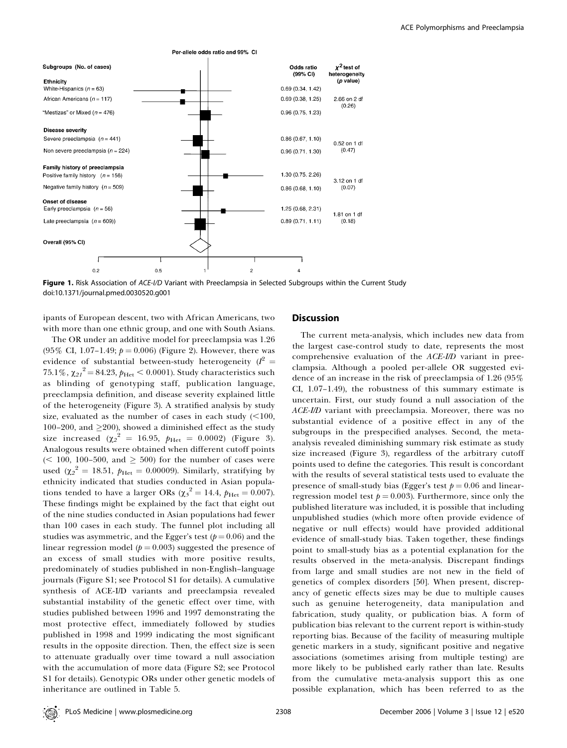



ipants of European descent, two with African Americans, two with more than one ethnic group, and one with South Asians.

The OR under an additive model for preeclampsia was 1.26  $(95\% \text{ CI}, 1.07-1.49; p = 0.006)$  (Figure 2). However, there was evidence of substantial between-study heterogeneity ( $I^2$  =  $75.1\%$ ,  $\chi_{21}^2$  = 84.23,  $p_{\rm Het}$  < 0.0001). Study characteristics such as blinding of genotyping staff, publication language, preeclampsia definition, and disease severity explained little of the heterogeneity (Figure 3). A stratified analysis by study size, evaluated as the number of cases in each study  $\left( \leq 100, \right)$ 100-200, and  $\geq$ 200), showed a diminished effect as the study size increased ( $\chi_2^2 = 16.95$ ,  $p_{\text{Het}} = 0.0002$ ) (Figure 3). Analogous results were obtained when different cutoff points  $($  < 100, 100-500, and  $\geq$  500) for the number of cases were used ( $\chi_2^2 = 18.51$ ,  $p_{\text{Het}} = 0.00009$ ). Similarly, stratifying by ethnicity indicated that studies conducted in Asian populations tended to have a larger ORs ( $\chi_5^2 = 14.4$ ,  $p_{\text{Het}} = 0.007$ ). These findings might be explained by the fact that eight out of the nine studies conducted in Asian populations had fewer than 100 cases in each study. The funnel plot including all studies was asymmetric, and the Egger's test ( $p = 0.06$ ) and the linear regression model ( $p = 0.003$ ) suggested the presence of an excess of small studies with more positive results, predominately of studies published in non-English–language journals (Figure S1; see Protocol S1 for details). A cumulative synthesis of ACE-I/D variants and preeclampsia revealed substantial instability of the genetic effect over time, with studies published between 1996 and 1997 demonstrating the most protective effect, immediately followed by studies published in 1998 and 1999 indicating the most significant results in the opposite direction. Then, the effect size is seen to attenuate gradually over time toward a null association with the accumulation of more data (Figure S2; see Protocol S1 for details). Genotypic ORs under other genetic models of inheritance are outlined in Table 5.

# Discussion

The current meta-analysis, which includes new data from the largest case-control study to date, represents the most comprehensive evaluation of the ACE-I/D variant in preeclampsia. Although a pooled per-allele OR suggested evidence of an increase in the risk of preeclampsia of 1.26 (95% CI, 1.07–1.49), the robustness of this summary estimate is uncertain. First, our study found a null association of the ACE-I/D variant with preeclampsia. Moreover, there was no substantial evidence of a positive effect in any of the subgroups in the prespecified analyses. Second, the metaanalysis revealed diminishing summary risk estimate as study size increased (Figure 3), regardless of the arbitrary cutoff points used to define the categories. This result is concordant with the results of several statistical tests used to evaluate the presence of small-study bias (Egger's test  $p = 0.06$  and linearregression model test  $p = 0.003$ . Furthermore, since only the published literature was included, it is possible that including unpublished studies (which more often provide evidence of negative or null effects) would have provided additional evidence of small-study bias. Taken together, these findings point to small-study bias as a potential explanation for the results observed in the meta-analysis. Discrepant findings from large and small studies are not new in the field of genetics of complex disorders [50]. When present, discrepancy of genetic effects sizes may be due to multiple causes such as genuine heterogeneity, data manipulation and fabrication, study quality, or publication bias. A form of publication bias relevant to the current report is within-study reporting bias. Because of the facility of measuring multiple genetic markers in a study, significant positive and negative associations (sometimes arising from multiple testing) are more likely to be published early rather than late. Results from the cumulative meta-analysis support this as one possible explanation, which has been referred to as the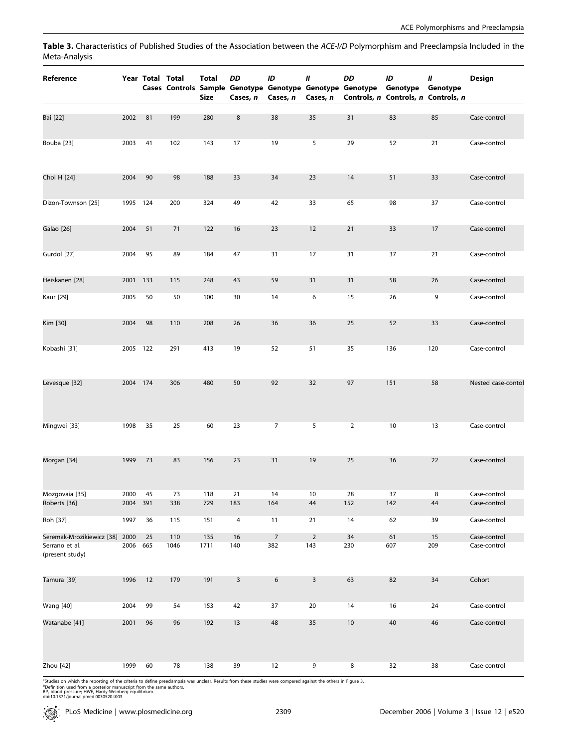Table 3. Characteristics of Published Studies of the Association between the ACE-I/D Polymorphism and Preeclampsia Included in the Meta-Analysis

| Reference                         |          | Year Total Total |      | Total<br>Size | DD<br>Cases, n | ID<br>Cases, n   | Ш<br>Cases, n  | DD<br>Cases Controls Sample Genotype Genotype Genotype Genotype | ID<br>Genotype<br>Controls, n Controls, n Controls, n | Ш<br>Genotype | <b>Design</b>      |
|-----------------------------------|----------|------------------|------|---------------|----------------|------------------|----------------|-----------------------------------------------------------------|-------------------------------------------------------|---------------|--------------------|
| Bai [22]                          | 2002     | 81               | 199  | 280           | $\bf 8$        | 38               | 35             | 31                                                              | 83                                                    | 85            | Case-control       |
| Bouba [23]                        | 2003     | 41               | 102  | 143           | 17             | 19               | 5              | 29                                                              | 52                                                    | 21            | Case-control       |
| Choi H [24]                       | 2004     | 90               | 98   | 188           | 33             | 34               | 23             | 14                                                              | 51                                                    | 33            | Case-control       |
| Dizon-Townson [25]                | 1995 124 |                  | 200  | 324           | 49             | 42               | 33             | 65                                                              | 98                                                    | 37            | Case-control       |
| Galao [26]                        | 2004     | 51               | 71   | 122           | 16             | 23               | 12             | 21                                                              | 33                                                    | 17            | Case-control       |
| Gurdol [27]                       | 2004     | 95               | 89   | 184           | 47             | 31               | 17             | 31                                                              | 37                                                    | 21            | Case-control       |
| Heiskanen [28]                    | 2001 133 |                  | 115  | 248           | 43             | 59               | 31             | 31                                                              | 58                                                    | 26            | Case-control       |
| Kaur [29]                         | 2005     | 50               | 50   | 100           | 30             | 14               | 6              | 15                                                              | 26                                                    | 9             | Case-control       |
| Kim [30]                          | 2004     | 98               | 110  | 208           | 26             | 36               | 36             | 25                                                              | 52                                                    | 33            | Case-control       |
| Kobashi [31]                      | 2005 122 |                  | 291  | 413           | 19             | 52               | 51             | 35                                                              | 136                                                   | 120           | Case-control       |
| Levesque [32]                     | 2004 174 |                  | 306  | 480           | 50             | 92               | 32             | 97                                                              | 151                                                   | 58            | Nested case-contol |
| Mingwei [33]                      | 1998     | 35               | 25   | 60            | 23             | $\overline{7}$   | 5              | $\overline{2}$                                                  | 10                                                    | 13            | Case-control       |
| Morgan [34]                       | 1999     | 73               | 83   | 156           | 23             | 31               | 19             | 25                                                              | 36                                                    | 22            | Case-control       |
| Mozgovaia [35]                    | 2000     | 45               | 73   | 118           | 21             | 14               | 10             | 28                                                              | 37                                                    | 8             | Case-control       |
| Roberts [36]                      | 2004 391 |                  | 338  | 729           | 183            | 164              | $44\,$         | 152                                                             | 142                                                   | 44            | Case-control       |
| Roh [37]                          | 1997     | 36               | 115  | 151           | $\overline{4}$ | 11               | 21             | 14                                                              | 62                                                    | 39            | Case-control       |
| Seremak-Mrozikiewicz [38] 2000    |          | 25               | 110  | 135           | 16             | $\overline{7}$   | $\overline{2}$ | 34                                                              | 61                                                    | 15            | Case-control       |
| Serrano et al.<br>(present study) | 2006 665 |                  | 1046 | 1711          | 140            | 382              | 143            | 230                                                             | 607                                                   | 209           | Case-control       |
| Tamura [39]                       | 1996     | 12               | 179  | 191           | $\overline{3}$ | $\boldsymbol{6}$ | $\mathsf 3$    | 63                                                              | 82                                                    | 34            | Cohort             |
| <b>Wang</b> [40]                  | 2004     | 99               | 54   | 153           | 42             | 37               | 20             | 14                                                              | 16                                                    | 24            | Case-control       |
| Watanabe [41]                     | 2001     | 96               | 96   | 192           | 13             | 48               | 35             | $10$                                                            | 40                                                    | 46            | Case-control       |
| Zhou [42]                         | 1999     | 60               | 78   | 138           | 39             | 12               | 9              | 8                                                               | 32                                                    | 38            | Case-control       |

<sup>a</sup>Studies on which the reporting of the criteria to define preeclampsia was unclear. Results from these studies were compared against the others in Figure 3.<br><sup>8</sup>Definition used from a posterior manuscript from the same au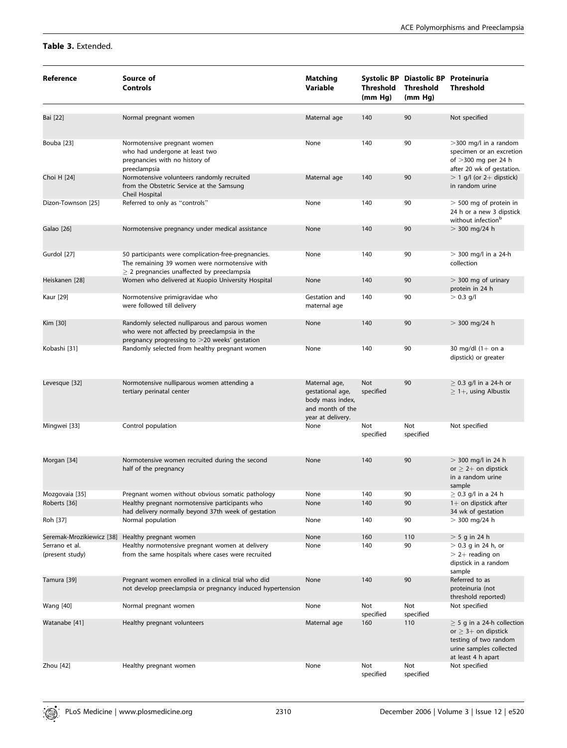# Table 3. Extended.

| Reference                         | Source of<br><b>Controls</b>                                                                                                                            | <b>Matching</b><br>Variable                                                                    | Threshold<br>(mm Hg) | Systolic BP Diastolic BP Proteinuria<br><b>Threshold</b><br>(mm Hg) | <b>Threshold</b>                                                                                                                      |
|-----------------------------------|---------------------------------------------------------------------------------------------------------------------------------------------------------|------------------------------------------------------------------------------------------------|----------------------|---------------------------------------------------------------------|---------------------------------------------------------------------------------------------------------------------------------------|
| Bai [22]                          | Normal pregnant women                                                                                                                                   | Maternal age                                                                                   | 140                  | 90                                                                  | Not specified                                                                                                                         |
| Bouba [23]                        | Normotensive pregnant women<br>who had undergone at least two<br>pregnancies with no history of<br>preeclampsia                                         | None                                                                                           | 140                  | 90                                                                  | >300 mg/l in a random<br>specimen or an excretion<br>of $>$ 300 mg per 24 h<br>after 20 wk of gestation.                              |
| Choi H [24]                       | Normotensive volunteers randomly recruited<br>from the Obstetric Service at the Samsung<br>Cheil Hospital                                               | Maternal age                                                                                   | 140                  | 90                                                                  | $>$ 1 g/l (or 2+ dipstick)<br>in random urine                                                                                         |
| Dizon-Townson [25]                | Referred to only as "controls"                                                                                                                          | None                                                                                           | 140                  | 90                                                                  | $>$ 500 mg of protein in<br>24 h or a new 3 dipstick<br>without infection <sup>b</sup>                                                |
| Galao [26]                        | Normotensive pregnancy under medical assistance                                                                                                         | None                                                                                           | 140                  | 90                                                                  | $> 300$ mg/24 h                                                                                                                       |
| Gurdol [27]                       | 50 participants were complication-free-pregnancies.<br>The remaining 39 women were normotensive with<br>$\geq$ 2 pregnancies unaffected by preeclampsia | None                                                                                           | 140                  | 90                                                                  | $>$ 300 mg/l in a 24-h<br>collection                                                                                                  |
| Heiskanen [28]                    | Women who delivered at Kuopio University Hospital                                                                                                       | None                                                                                           | 140                  | 90                                                                  | $>$ 300 mg of urinary<br>protein in 24 h                                                                                              |
| Kaur [29]                         | Normotensive primigravidae who<br>were followed till delivery                                                                                           | Gestation and<br>maternal age                                                                  | 140                  | 90                                                                  | $> 0.3$ g/l                                                                                                                           |
| Kim [30]                          | Randomly selected nulliparous and parous women<br>who were not affected by preeclampsia in the<br>pregnancy progressing to >20 weeks' gestation         | None                                                                                           | 140                  | 90                                                                  | $> 300$ mg/24 h                                                                                                                       |
| Kobashi [31]                      | Randomly selected from healthy pregnant women                                                                                                           | None                                                                                           | 140                  | 90                                                                  | 30 mg/dl $(1+$ on a<br>dipstick) or greater                                                                                           |
| Levesque [32]                     | Normotensive nulliparous women attending a<br>tertiary perinatal center                                                                                 | Maternal age,<br>gestational age,<br>body mass index,<br>and month of the<br>year at delivery. | Not<br>specified     | 90                                                                  | $\geq$ 0.3 g/l in a 24-h or<br>$\geq$ 1+, using Albustix                                                                              |
| Mingwei [33]                      | Control population                                                                                                                                      | None                                                                                           | Not<br>specified     | Not<br>specified                                                    | Not specified                                                                                                                         |
| Morgan [34]                       | Normotensive women recruited during the second<br>half of the pregnancy                                                                                 | None                                                                                           | 140                  | 90                                                                  | $> 300$ mg/l in 24 h<br>or $> 2+$ on dipstick<br>in a random urine<br>sample                                                          |
| Mozgovaia [35]                    | Pregnant women without obvious somatic pathology                                                                                                        | None                                                                                           | 140                  | 90                                                                  | $\geq$ 0.3 g/l in a 24 h                                                                                                              |
| Roberts [36]                      | Healthy pregnant normotensive participants who<br>had delivery normally beyond 37th week of gestation                                                   | None                                                                                           | 140                  | 90                                                                  | $1+$ on dipstick after<br>34 wk of gestation                                                                                          |
| Roh [37]                          | Normal population                                                                                                                                       | None                                                                                           | 140                  | 90                                                                  | $> 300$ mg/24 h                                                                                                                       |
| Seremak-Mrozikiewicz [38]         | Healthy pregnant women                                                                                                                                  | None                                                                                           | 160                  | 110                                                                 | $>$ 5 g in 24 h                                                                                                                       |
| Serrano et al.<br>(present study) | Healthy normotensive pregnant women at delivery<br>from the same hospitals where cases were recruited                                                   | None                                                                                           | 140                  | 90                                                                  | $>$ 0.3 g in 24 h, or<br>$> 2+$ reading on<br>dipstick in a random<br>sample                                                          |
| Tamura [39]                       | Pregnant women enrolled in a clinical trial who did<br>not develop preeclampsia or pregnancy induced hypertension                                       | None                                                                                           | 140                  | 90                                                                  | Referred to as<br>proteinuria (not<br>threshold reported)                                                                             |
| <b>Wang</b> [40]                  | Normal pregnant women                                                                                                                                   | None                                                                                           | Not<br>specified     | Not<br>specified                                                    | Not specified                                                                                                                         |
| Watanabe [41]                     | Healthy pregnant volunteers                                                                                                                             | Maternal age                                                                                   | 160                  | 110                                                                 | $\geq$ 5 g in a 24-h collection<br>or $\geq$ 3+ on dipstick<br>testing of two random<br>urine samples collected<br>at least 4 h apart |
| Zhou [42]                         | Healthy pregnant women                                                                                                                                  | None                                                                                           | Not<br>specified     | Not<br>specified                                                    | Not specified                                                                                                                         |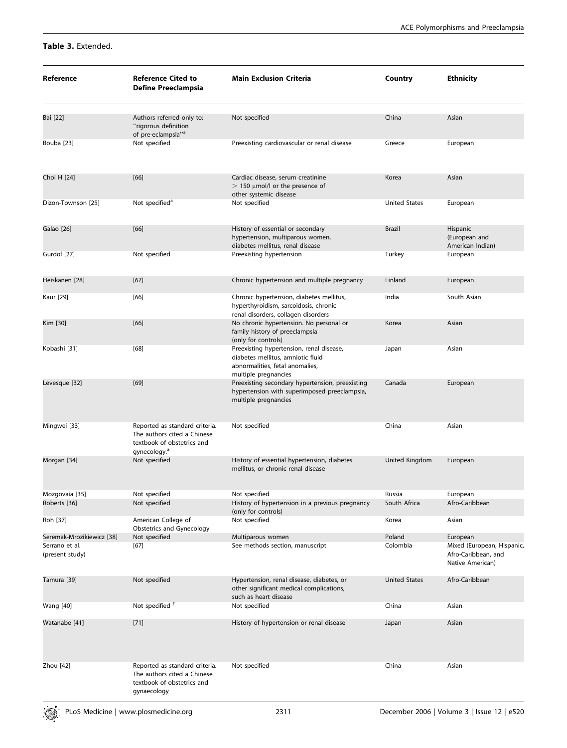# Table 3. Extended.

| Reference                         | <b>Reference Cited to</b><br><b>Define Preeclampsia</b>                                                                 | <b>Main Exclusion Criteria</b>                                                                                                           | Country                | <b>Ethnicity</b>                                                      |
|-----------------------------------|-------------------------------------------------------------------------------------------------------------------------|------------------------------------------------------------------------------------------------------------------------------------------|------------------------|-----------------------------------------------------------------------|
| Bai [22]                          | Authors referred only to:<br>"rigorous definition<br>of pre-eclampsia" <sup>a</sup>                                     | Not specified                                                                                                                            | China                  | Asian                                                                 |
| Bouba [23]                        | Not specified                                                                                                           | Preexisting cardiovascular or renal disease                                                                                              | Greece                 | European                                                              |
| Choi H [24]                       | [66]                                                                                                                    | Cardiac disease, serum creatinine<br>$>$ 150 µmol/l or the presence of<br>other systemic disease                                         | Korea                  | Asian                                                                 |
| Dizon-Townson [25]                | Not specified <sup>a</sup>                                                                                              | Not specified                                                                                                                            | <b>United States</b>   | European                                                              |
| Galao [26]                        | $[66]$                                                                                                                  | History of essential or secondary<br>hypertension, multiparous women,<br>diabetes mellitus, renal disease                                | Brazil                 | Hispanic<br>(European and<br>American Indian)                         |
| Gurdol [27]                       | Not specified                                                                                                           | Preexisting hypertension                                                                                                                 | Turkey                 | European                                                              |
| Heiskanen [28]                    | $[67]$                                                                                                                  | Chronic hypertension and multiple pregnancy                                                                                              | Finland                | European                                                              |
| Kaur [29]                         | [66]                                                                                                                    | Chronic hypertension, diabetes mellitus,<br>hyperthyroidism, sarcoidosis, chronic<br>renal disorders, collagen disorders                 | India                  | South Asian                                                           |
| Kim [30]                          | $[66]$                                                                                                                  | No chronic hypertension. No personal or<br>family history of preeclampsia<br>(only for controls)                                         | Korea                  | Asian                                                                 |
| Kobashi [31]                      | [68]                                                                                                                    | Preexisting hypertension, renal disease,<br>diabetes mellitus, amniotic fluid<br>abnormalities, fetal anomalies,<br>multiple pregnancies | Japan                  | Asian                                                                 |
| Levesque [32]                     | [69]                                                                                                                    | Preexisting secondary hypertension, preexisting<br>hypertension with superimposed preeclampsia,<br>multiple pregnancies                  | Canada                 | European                                                              |
| Mingwei [33]                      | Reported as standard criteria.<br>The authors cited a Chinese<br>textbook of obstetrics and<br>gynecology. <sup>a</sup> | Not specified                                                                                                                            | China                  | Asian                                                                 |
| Morgan [34]                       | Not specified                                                                                                           | History of essential hypertension, diabetes<br>mellitus, or chronic renal disease                                                        | United Kingdom         | European                                                              |
| Mozgovaia [35]<br>Roberts [36]    | Not specified<br>Not specified                                                                                          | Not specified<br>History of hypertension in a previous pregnancy                                                                         | Russia<br>South Africa | European<br>Afro-Caribbean                                            |
| Roh [37]                          | American College of                                                                                                     | (only for controls)<br>Not specified                                                                                                     | Korea                  | Asian                                                                 |
| Seremak-Mrozikiewicz [38]         | Obstetrics and Gynecology                                                                                               |                                                                                                                                          | Poland                 | European                                                              |
| Serrano et al.<br>(present study) | Not specified<br>$[67]$                                                                                                 | Multiparous women<br>See methods section, manuscript                                                                                     | Colombia               | Mixed (European, Hispanic,<br>Afro-Caribbean, and<br>Native American) |
| Tamura [39]                       | Not specified                                                                                                           | Hypertension, renal disease, diabetes, or<br>other significant medical complications,<br>such as heart disease                           | <b>United States</b>   | Afro-Caribbean                                                        |
| <b>Wang</b> [40]                  | Not specified $†$                                                                                                       | Not specified                                                                                                                            | China                  | Asian                                                                 |
| Watanabe [41]                     | $[71]$                                                                                                                  | History of hypertension or renal disease                                                                                                 | Japan                  | Asian                                                                 |
| Zhou [42]                         | Reported as standard criteria.<br>The authors cited a Chinese<br>textbook of obstetrics and<br>gynaecology              | Not specified                                                                                                                            | China                  | Asian                                                                 |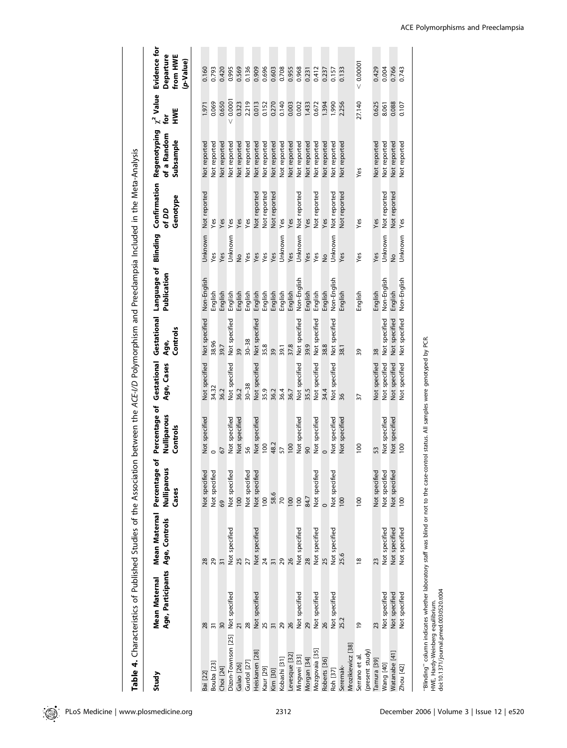|                                  | Table 4. Characteristics of Published Studies of the Association between the ACE-I/D Polymorphism and Preeclampsia Included in the Meta-Analysis |                 |                                                        |                                          |                           |                                 |                            |               |                                   |                                          |                            |                                                    |
|----------------------------------|--------------------------------------------------------------------------------------------------------------------------------------------------|-----------------|--------------------------------------------------------|------------------------------------------|---------------------------|---------------------------------|----------------------------|---------------|-----------------------------------|------------------------------------------|----------------------------|----------------------------------------------------|
| Study                            | Age, Participants Age, Controls<br><b>Mean Maternal</b>                                                                                          | Mean Maternal   | Percentage of<br>š<br>Nulliparo<br>Cases               | Percentage of<br>Nulliparous<br>Controls | Gestational<br>Age, Cases | Gestational<br>Controls<br>Age, | Language of<br>Publication | Blinding      | Confirmation<br>Genotype<br>of DD | Regenotyping<br>of a Random<br>Subsample | $\chi^2$ Value<br>HWE<br>è | Evidence for<br>Departure<br>from HWE<br>(p-Value) |
|                                  |                                                                                                                                                  |                 |                                                        |                                          |                           |                                 |                            |               |                                   |                                          |                            |                                                    |
| Bai [22]                         | 28                                                                                                                                               | 28              | Not specified                                          | Not specified                            | Not specified             | Not specified                   | Non-English                | Unknown       | Not reported                      | Not reported                             | 1.971                      | 0.160                                              |
| Bouba <sub>[23]</sub>            | $\overline{31}$                                                                                                                                  | 29              | Not specified                                          | $\circ$                                  | 34.32                     | 38.96                           | English                    | yes           | Yes                               | Not reported                             | 0.069                      | 0.793                                              |
| Choi [24]                        | 30                                                                                                                                               | $\overline{31}$ | 69                                                     | 67                                       | 36.2                      | 39.7                            | English                    | Yes           | Yes                               | Not reported                             | 0.650                      | 0.420                                              |
| Dizon-Townson [25]               | Not specified                                                                                                                                    | Not specified   | Not specified                                          | Not specified                            | Not specified             | Not specified                   | English                    | Unknown       | Yes                               | Not reported                             | < 0.000                    | 0.995                                              |
| Galao [26]                       | 21                                                                                                                                               | 25              | 100                                                    | Not specified                            | 36.2                      | 39                              | English                    | $\frac{1}{2}$ | Yes                               | Not reported                             | 0.323                      | 0.569                                              |
| Gurdol [27]                      | 28                                                                                                                                               | 27              | Not specified                                          | 56                                       | $30 - 38$                 | $30 - 38$                       | English                    | Yes           | Yes                               | Not reported                             | 2.219                      | 0.136                                              |
| Heiskanen [28]                   | Not specified                                                                                                                                    | Not specified   | Not specified                                          | Not specified                            | Not specified             | Not specified                   | English                    | Yes           | Not reported                      | Not reported                             | 0.013                      | 0.909                                              |
| Kaur [29]                        | 25                                                                                                                                               | 24              | 100                                                    | 100                                      | 35.9                      | 35.8                            | English                    | Yes           | Not reported                      | Not reported                             | 0.152                      | 0.696                                              |
| Kim [30]                         | $\overline{3}$                                                                                                                                   | $\overline{3}$  | 58.6                                                   | 48.2                                     | 36.2                      | 39                              | English                    | Yes           | Not reported                      | Not reported                             | 0.270                      | 0.603                                              |
| Kobashi [31]                     | 29                                                                                                                                               | 29              | $\mathcal{R}$                                          | 57                                       | 36.4                      | 39.1                            | English                    | Unknown       | Yes                               | Not reported                             | 0.140                      | 0.708                                              |
| Levesque [32]                    | 26                                                                                                                                               | 26              | 100                                                    | 100                                      | 36.7                      | 37.8                            | English                    | Yes           | Yes                               | Not reported                             | 0.003                      | 0.955                                              |
| Mingwei [33]                     | Not specified                                                                                                                                    | Not specified   | 100                                                    | Not specified                            | Not specified             | Not specified                   | Non-English                | Unknown       | Not reported                      | Not reported                             | 0.002                      | 0.968                                              |
| Morgan [34]                      | 29                                                                                                                                               | 28              | 84.7                                                   | $\overline{6}$                           | 35.5                      | 39.9                            | English                    | Yes           | Yes                               | Not reported                             | 1.433                      | 0.231                                              |
| Mozgovaia [35]                   | Not specified                                                                                                                                    | Not specified   | g<br>Not specifi                                       | Not specified                            | Not specified             | Not specified                   | English                    | Yes           | <b>Not reported</b>               | Not reported                             | 0.672                      | 0.412                                              |
| Roberts [36]                     | 26                                                                                                                                               | 25              |                                                        |                                          | 34.4                      | 38.8                            | English                    | $\frac{1}{2}$ | Yes                               | Not reported                             | 1.394                      | 0.237                                              |
| Roh [37]                         | Not specified                                                                                                                                    | Not specified   | Not specified                                          | Not specified                            | Not specified             | Not specified                   | Non-English                | Unknown       | Not reported                      | Not reported                             | 0661                       | 0.157                                              |
| Mrozikiewicz [38]<br>Seremak-    | 25.2                                                                                                                                             | 25.6            | $\overline{0}$                                         | Not specified                            | 36                        | 38.1                            | English                    | Yes           | Not reported                      | Not reported                             | 2.256                      | 0.133                                              |
|                                  |                                                                                                                                                  |                 |                                                        |                                          |                           |                                 |                            |               |                                   |                                          |                            |                                                    |
| (present study)<br>Serrano et al | $\overline{6}$                                                                                                                                   | $\frac{8}{2}$   | 100                                                    | $\frac{8}{2}$                            | 57                        | 39                              | English                    | Yes           | Yes                               | Yes                                      | 27.140                     | < 0.00001                                          |
| [amura [39]                      | 23                                                                                                                                               | 23              |                                                        | 53                                       | Not specified             | 38                              | English                    | Yes           | Yes                               | Not reported                             | 0.625                      | 0.429                                              |
| Wang [40]                        | Not specified                                                                                                                                    | Not specified   |                                                        | Not specified                            | Not specified             | Not specified                   | Non-English                | Unknown       | Not reported                      | Not reported                             | 8.061                      | 0.004                                              |
| Watanabe [41]                    | Not specified                                                                                                                                    | Not specified   | Not specified<br>Not specified<br>Not specified<br>100 | Not specified                            | Not specified             | Not specified                   | English                    | $\frac{1}{2}$ | Not reported                      | Not reported                             | 0.088                      | 0.766                                              |
| Zhou [42]                        | Not specified                                                                                                                                    | Not specified   |                                                        | 100                                      | Not specified             | Not specified                   | Non-English                | Unknown       | Yes                               | Not reported                             | 0.107                      | 0.743                                              |

"Blinding" column indicates whether laboratory staff was blind or not to the case-control status. All samples were genotyped by PCR.<br>HWE, Hardy-Weinberg equilibrium.<br>doi:10.1371/journal.pmed.0030520.t004 ''Blinding'' column indicates whether laboratory staff was blind or not to the case-control status. All samples were genotyped by PCR.

HWE, Hardy-Weinberg equilibrium. doi:10.1371/journal.pmed.0030520.t004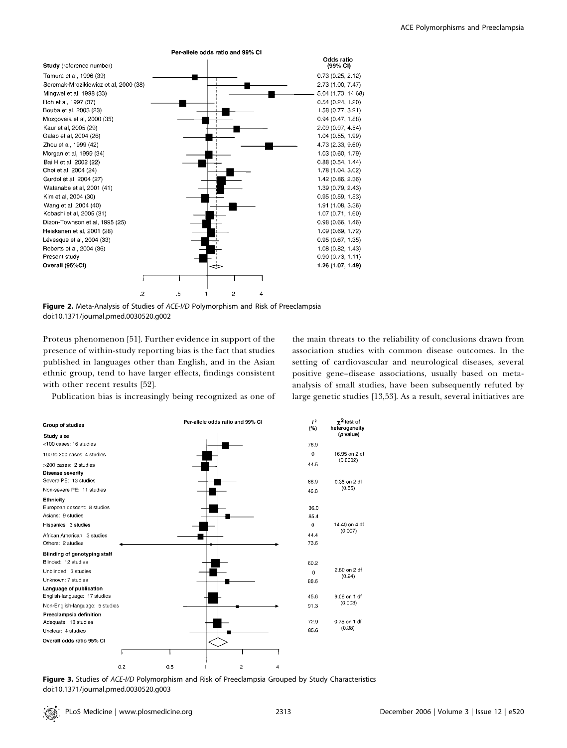

Figure 2. Meta-Analysis of Studies of ACE-I/D Polymorphism and Risk of Preeclampsia doi:10.1371/journal.pmed.0030520.g002

Proteus phenomenon [51]. Further evidence in support of the presence of within-study reporting bias is the fact that studies published in languages other than English, and in the Asian ethnic group, tend to have larger effects, findings consistent with other recent results [52].

Publication bias is increasingly being recognized as one of

the main threats to the reliability of conclusions drawn from association studies with common disease outcomes. In the setting of cardiovascular and neurological diseases, several positive gene–disease associations, usually based on metaanalysis of small studies, have been subsequently refuted by large genetic studies [13,53]. As a result, several initiatives are



Figure 3. Studies of ACE-I/D Polymorphism and Risk of Preeclampsia Grouped by Study Characteristics doi:10.1371/journal.pmed.0030520.g003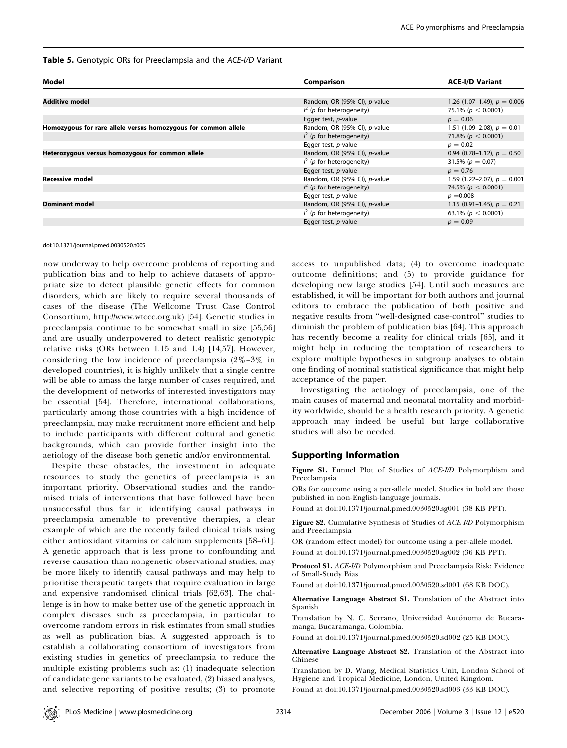### Table 5. Genotypic ORs for Preeclampsia and the ACE-I/D Variant.

| Model                                                          | Comparison                     | <b>ACE-I/D Variant</b>           |
|----------------------------------------------------------------|--------------------------------|----------------------------------|
|                                                                |                                |                                  |
|                                                                |                                |                                  |
| <b>Additive model</b>                                          | Random, OR (95% CI), p-value   | 1.26 $(1.07-1.49)$ , $p = 0.006$ |
|                                                                | $\int^2$ (p for heterogeneity) | 75.1% ( $p < 0.0001$ )           |
|                                                                | Egger test, <i>p</i> -value    | $p = 0.06$                       |
| Homozygous for rare allele versus homozygous for common allele | Random, OR (95% CI), p-value   | 1.51 (1.09–2.08), $p = 0.01$     |
|                                                                | $\int^2$ (p for heterogeneity) | 71.8% ( $p < 0.0001$ )           |
|                                                                | Egger test, p-value            | $p = 0.02$                       |
| Heterozygous versus homozygous for common allele               | Random, OR (95% CI), p-value   | 0.94 (0.78–1.12), $p = 0.50$     |
|                                                                | $\int^2$ (p for heterogeneity) | 31.5% ( $p = 0.07$ )             |
|                                                                | Egger test, <i>p</i> -value    | $p = 0.76$                       |
| <b>Recessive model</b>                                         | Random, OR (95% CI), p-value   | 1.59 (1.22–2.07), $p = 0.001$    |
|                                                                | $\int^2$ (p for heterogeneity) | 74.5% ( $p < 0.0001$ )           |
|                                                                | Egger test, <i>p</i> -value    | $p = 0.008$                      |
| <b>Dominant model</b>                                          | Random, OR (95% CI), p-value   | 1.15 (0.91–1.45), $p = 0.21$     |
|                                                                | $\int^2$ (p for heterogeneity) | 63.1% ( $p < 0.0001$ )           |
|                                                                | Egger test, p-value            | $p = 0.09$                       |
|                                                                |                                |                                  |

#### doi:10.1371/journal.pmed.0030520.t005

now underway to help overcome problems of reporting and publication bias and to help to achieve datasets of appropriate size to detect plausible genetic effects for common disorders, which are likely to require several thousands of cases of the disease (The Wellcome Trust Case Control Consortium, http://www.wtccc.org.uk) [54]. Genetic studies in preeclampsia continue to be somewhat small in size [55,56] and are usually underpowered to detect realistic genotypic relative risks (ORs between 1.15 and 1.4) [14,57]. However, considering the low incidence of preeclampsia (2%–3% in developed countries), it is highly unlikely that a single centre will be able to amass the large number of cases required, and the development of networks of interested investigators may be essential [54]. Therefore, international collaborations, particularly among those countries with a high incidence of preeclampsia, may make recruitment more efficient and help to include participants with different cultural and genetic backgrounds, which can provide further insight into the aetiology of the disease both genetic and/or environmental.

Despite these obstacles, the investment in adequate resources to study the genetics of preeclampsia is an important priority. Observational studies and the randomised trials of interventions that have followed have been unsuccessful thus far in identifying causal pathways in preeclampsia amenable to preventive therapies, a clear example of which are the recently failed clinical trials using either antioxidant vitamins or calcium supplements [58–61]. A genetic approach that is less prone to confounding and reverse causation than nongenetic observational studies, may be more likely to identify causal pathways and may help to prioritise therapeutic targets that require evaluation in large and expensive randomised clinical trials [62,63]. The challenge is in how to make better use of the genetic approach in complex diseases such as preeclampsia, in particular to overcome random errors in risk estimates from small studies as well as publication bias. A suggested approach is to establish a collaborating consortium of investigators from existing studies in genetics of preeclampsia to reduce the multiple existing problems such as: (1) inadequate selection of candidate gene variants to be evaluated, (2) biased analyses, and selective reporting of positive results; (3) to promote access to unpublished data; (4) to overcome inadequate outcome definitions; and (5) to provide guidance for developing new large studies [54]. Until such measures are established, it will be important for both authors and journal editors to embrace the publication of both positive and negative results from ''well-designed case-control'' studies to diminish the problem of publication bias [64]. This approach has recently become a reality for clinical trials [65], and it might help in reducing the temptation of researchers to explore multiple hypotheses in subgroup analyses to obtain one finding of nominal statistical significance that might help acceptance of the paper.

Investigating the aetiology of preeclampsia, one of the main causes of maternal and neonatal mortality and morbidity worldwide, should be a health research priority. A genetic approach may indeed be useful, but large collaborative studies will also be needed.

## Supporting Information

Figure S1. Funnel Plot of Studies of ACE-I/D Polymorphism and Preeclampsia

ORs for outcome using a per-allele model. Studies in bold are those published in non-English-language journals.

Found at doi:10.1371/journal.pmed.0030520.sg001 (38 KB PPT).

Figure S2. Cumulative Synthesis of Studies of ACE-I/D Polymorphism and Preeclampsia

OR (random effect model) for outcome using a per-allele model. Found at doi:10.1371/journal.pmed.0030520.sg002 (36 KB PPT).

Protocol S1. ACE-I/D Polymorphism and Preeclampsia Risk: Evidence of Small-Study Bias

Found at doi:10.1371/journal.pmed.0030520.sd001 (68 KB DOC).

Alternative Language Abstract S1. Translation of the Abstract into Spanish

Translation by N. C. Serrano, Universidad Autónoma de Bucaramanga, Bucaramanga, Colombia.

Found at doi:10.1371/journal.pmed.0030520.sd002 (25 KB DOC).

Alternative Language Abstract S2. Translation of the Abstract into Chinese

Translation by D. Wang, Medical Statistics Unit, London School of Hygiene and Tropical Medicine, London, United Kingdom. Found at doi:10.1371/journal.pmed.0030520.sd003 (33 KB DOC).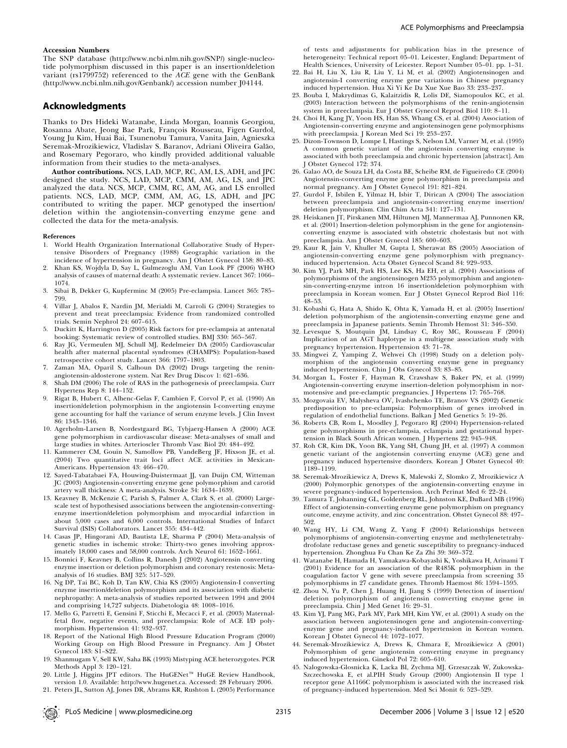#### Accession Numbers

The SNP database (http://www.ncbi.nlm.nih.gov/SNP/) single-nucleotide polymorphism discussed in this paper is an insertion/deletion variant ( $rs1799752$ ) referenced to the  $ACE$  gene with the GenBank (http://www.ncbi.nlm.nih.gov/Genbank/) accession number J04144.

# Acknowledgments

Thanks to Drs Hideki Watanabe, Linda Morgan, Ioannis Georgiou, Rosanna Abate, Jeong Bae Park, François Rousseau, Figen Gurdol, Young Ju Kim, Huai Bai, Tsunenobu Tamura, Vanita Jain, Agnieszka Seremak-Mrozikiewicz, Vladislav S. Baranov, Adriani Oliveira Galão, and Rosemary Pegoraro, who kindly provided additional valuable information from their studies to the meta-analyses.

Author contributions. NCS, LAD, MCP, RC, AM, LS, ADH, and JPC designed the study. NCS, LAD, MCP, CMM, AM, AG, LS, and JPC analyzed the data. NCS, MCP, CMM, RC, AM, AG, and LS enrolled patients. NCS, LAD, MCP, CMM, AM, AG, LS, ADH, and JPC contributed to writing the paper. MCP genotyped the insertion/ deletion within the angiotensin-converting enzyme gene and collected the data for the meta-analysis.

#### References

- 1. World Health Organization International Collaborative Study of Hypertensive Disorders of Pregnancy (1988) Geographic variation in the incidence of hypertension in pregnancy. Am J Obstet Gynecol 158: 80–83.
- 2. Khan KS, Wojdyla D, Say L, Gulmezoglu AM, Van Look PF (2006) WHO analysis of causes of maternal death: A systematic review. Lancet 367: 1066– 1074.
- 3. Sibai B, Dekker G, Kupferminc M (2005) Pre-eclampsia. Lancet 365: 785– 799.
- 4. Villar J, Abalos E, Nardin JM, Merialdi M, Carroli G (2004) Strategies to prevent and treat preeclampsia: Evidence from randomized controlled trials. Semin Nephrol 24: 607–615.
- 5. Duckitt K, Harrington D (2005) Risk factors for pre-eclampsia at antenatal booking: Systematic review of controlled studies. BMJ 330: 565–567.
- 6. Ray JG, Vermeulen MJ, Schull MJ, Redelmeier DA (2005) Cardiovascular health after maternal placental syndromes (CHAMPS): Population-based retrospective cohort study. Lancet 366: 1797–1803.
- 7. Zaman MA, Oparil S, Calhoun DA (2002) Drugs targeting the reninangiotensin-aldosterone system. Nat Rev Drug Discov 1: 621–636.
- 8. Shah DM (2006) The role of RAS in the pathogenesis of preeclampsia. Curr Hypertens Rep 8: 144–152.
- 9. Rigat B, Hubert C, Alhenc-Gelas F, Cambien F, Corvol P, et al. (1990) An insertion/deletion polymorphism in the angiotensin I-converting enzyme gene accounting for half the variance of serum enzyme levels. J Clin Invest 86: 1343–1346.
- 10. Agerholm-Larsen B, Nordestgaard BG, Tybjaerg-Hansen A (2000) ACE gene polymorphism in cardiovascular disease: Meta-analyses of small and large studies in whites. Arterioscler Thromb Vasc Biol 20: 484–492.
- 11. Kammerer CM, Gouin N, Samollow PB, VandeBerg JF, Hixson JE, et al. (2004) Two quantitative trait loci affect ACE activities in Mexican-Americans. Hypertension 43: 466–470.
- 12. Sayed-Tabatabaei FA, Houwing-Duistermaat JJ, van Duijn CM, Witteman JC (2003) Angiotensin-converting enzyme gene polymorphism and carotid artery wall thickness: A meta-analysis. Stroke 34: 1634–1639.
- 13. Keavney B, McKenzie C, Parish S, Palmer A, Clark S, et al. (2000) Largescale test of hypothesised associations between the angiotensin-convertingenzyme insertion/deletion polymorphism and myocardial infarction in about 5,000 cases and 6,000 controls. International Studies of Infarct Survival (ISIS) Collaborators. Lancet 355: 434–442.
- 14. Casas JP, Hingorani AD, Bautista LE, Sharma P (2004) Meta-analysis of genetic studies in ischemic stroke: Thirty-two genes involving approximately 18,000 cases and 58,000 controls. Arch Neurol 61: 1652–1661.
- 15. Bonnici F, Keavney B, Collins R, Danesh J (2002) Angiotensin converting enzyme insertion or deletion polymorphism and coronary restenosis: Metaanalysis of 16 studies. BMJ 325: 517–520.
- 16. Ng DP, Tai BC, Koh D, Tan KW, Chia KS (2005) Angiotensin-I converting enzyme insertion/deletion polymorphism and its association with diabetic nephropathy: A meta-analysis of studies reported between 1994 and 2004 and comprising 14,727 subjects. Diabetologia 48: 1008–1016.
- 17. Mello G, Parretti E, Gensini F, Sticchi E, Mecacci F, et al. (2003) Maternalfetal flow, negative events, and preeclampsia: Role of ACE I/D polymorphism. Hypertension 41: 932–937.
- 18. Report of the National High Blood Pressure Education Program (2000) Working Group on High Blood Pressure in Pregnancy. Am J Obstet Gynecol 183: S1–S22.
- 19. Shanmugam V, Sell KW, Saha BK (1993) Mistyping ACE heterozygotes. PCR Methods Appl 3: 120–121.
- 20. Little J, Higgins JPT editors. The HuGENet<sup>™</sup> HuGE Review Handbook, version 1.0. Available: http://www.hugenet.ca. Accessed: 28 February 2006.
- 21. Peters JL, Sutton AJ, Jones DR, Abrams KR, Rushton L (2005) Performance

of tests and adjustments for publication bias in the presence of heterogeneity: Technical report 05–01. Leicester, England: Department of Health Sciences, University of Leicester. Report Number 05–01. pp. 1–31.

- 22. Bai H, Liu X, Liu R, Liu Y, Li M, et al. (2002) Angiotensinogen and angiotensin-I converting enzyme gene variations in Chinese pregnancy induced hypertension. Hua Xi Yi Ke Da Xue Xue Bao 33: 233–237.
- 23. Bouba I, Makrydimas G, Kalaitzidis R, Lolis DE, Siamopoulos KC, et al. (2003) Interaction between the polymorphisms of the renin-angiotensin system in preeclampsia. Eur J Obstet Gynecol Reprod Biol 110: 8–11.
- 24. Choi H, Kang JY, Yoon HS, Han SS, Whang CS, et al. (2004) Association of Angiotensin-converting enzyme and angiotensinogen gene polymorphisms with preeclampsia. J Korean Med Sci 19: 253–257.
- 25. Dizon-Townson D, Lompe I, Hastings S, Nelson LM, Varner M, et al. (1995) A common genetic variant of the angiotensin converting enzyme is associated with both preeclampsia and chronic hypertension [abstract]. Am J Obstet Gynecol 172: 374.
- 26. Galao AO, de Souza LH, da Costa BE, Scheibe RM, de Figueiredo CE (2004) Angiotensin-converting enzyme gene polymorphism in preeclampsia and normal pregnancy. Am J Obstet Gynecol 191: 821–824.
- 27. Gurdol F, Isbilen E, Yilmaz H, Isbir T, Dirican A (2004) The association between preeclampsia and angiotensin-converting enzyme insertion/ deletion polymorphism. Clin Chim Acta 341: 127–131.
- 28. Heiskanen JT, Pirskanen MM, Hiltunen MJ, Mannermaa AJ, Punnonen KR, et al. (2001) Insertion-deletion polymorphism in the gene for angiotensinconverting enzyme is associated with obstetric cholestasis but not with preeclampsia. Am J Obstet Gynecol 185: 600–603.
- 29. Kaur R, Jain V, Khuller M, Gupta I, Sherawat BS (2005) Association of angiotensin-converting enzyme gene polymorphism with pregnancyinduced hypertension. Acta Obstet Gynecol Scand 84: 929–933.
- 30. Kim YJ, Park MH, Park HS, Lee KS, Ha EH, et al. (2004) Associations of polymorphisms of the angiotensinogen M235 polymorphism and angiotensin-converting-enzyme intron 16 insertion/deletion polymorphism with preeclampsia in Korean women. Eur J Obstet Gynecol Reprod Biol 116: 48–53.
- 31. Kobashi G, Hata A, Shido K, Ohta K, Yamada H, et al. (2005) Insertion/ deletion polymorphism of the angiotensin-converting enzyme gene and preeclampsia in Japanese patients. Semin Thromb Hemost 31: 346–350.
- 32. Levesque S, Moutquin JM, Lindsay C, Roy MC, Rousseau F (2004) Implication of an AGT haplotype in a multigene association study with pregnancy hypertension. Hypertension 43: 71–78.
- 33. Mingwei Z, Yamping Z, Wehwei Ch (1998) Study on a deletion polymorphism of the angiotensin converting enzyme gene in pregnancy induced hypertension. Chin J Obs Gynecol 33: 83–85.
- 34. Morgan L, Foster F, Hayman R, Crawshaw S, Baker PN, et al. (1999) Angiotensin-converting enzyme insertion-deletion polymorphism in normotensive and pre-eclamptic pregnancies. J Hypertens 17: 765–768.
- 35. Mozgovaia EV, Malysheva OV, Ivashchenko TE, Branov VS (2002) Genetic predisposition to pre-eclampsia: Polymorphism of genes involved in regulation of endothelial functions. Balkan J Med Genetics 5: 19–26.
- 36. Roberts CB, Rom L, Moodley J, Pegoraro RJ (2004) Hypertension-related gene polymorphisms in pre-eclampsia, eclampsia and gestational hypertension in Black South African women. J Hypertens 22: 945–948.
- 37. Roh CR, Kim DK, Yoon BK, Yang SH, Chung JH, et al. (1997) A common genetic variant of the angiotensin converting enzyme (ACE) gene and pregnancy induced hypertensive disorders. Korean J Obstet Gynecol 40: 1189–1199.
- 38. Seremak-Mrozikiewicz A, Drews K, Malewski Z, Slomko Z, Mrozikiewicz A (2000) Polymorphic genotypes of the angiotensin-converting enzyme in severe pregnancy-induced hypertension. Arch Perinat Med 6: 22–24.
- 39. Tamura T, Johanning GL, Goldenberg RL, Johnston KE, DuBard MB (1996) Effect of angiotensin-converting enzyme gene polymorphism on pregnancy outcome, enzyme activity, and zinc concentration. Obstet Gynecol 88: 497– 502.
- 40. Wang HY, Li CM, Wang Z, Yang F (2004) Relationships between polymorphisms of angiotensin-converting enzyme and methylenetetrahydrofolate reductase genes and genetic susceptibility to pregnancy-induced hypertension. Zhonghua Fu Chan Ke Za Zhi 39: 369–372.
- 41. Watanabe H, Hamada H, Yamakawa-Kobayashi K, Yoshikawa H, Arinami T (2001) Evidence for an association of the R485K polymorphism in the coagulation factor V gene with severe preeclampsia from screening 35 polymorphisms in 27 candidate genes. Thromb Haemost 86: 1594–1595.
- 42. Zhou N, Yu P, Chen J, Huang H, Jiang S (1999) Detection of insertion/ deletion polymorphism of angiotensin converting enzyme gene in preeclampsia. Chin J Med Genet 16: 29–31.
- 43. Kim YJ, Pang MG, Park MY, Park MH, Kim YW, et al. (2001) A study on the association between angiotensinogen gene and angiotensin-convertingenzyme gene and pregnancy-induced hypertension in Korean women. Korean J Obstet Gynecol 44: 1072–1077.
- 44. Seremak-Mrozikiewicz A, Drews K, Chmara E, Mrozikiewicz A (2001) Polymorphism of gene angiotensin converting enzyme in pregnancy induced hypertension. Ginekol Pol 72: 605–610.
- 45. Nalogowska-Glosnicka K, Lacka BI, Zychma MJ, Grzeszczak W, Zukowska-Szczechowska E, et al.PIH Study Group (2000) Angiotensin II type 1 receptor gene A1166C polymorphism is associated with the increased risk of pregnancy-induced hypertension. Med Sci Monit 6: 523–529.